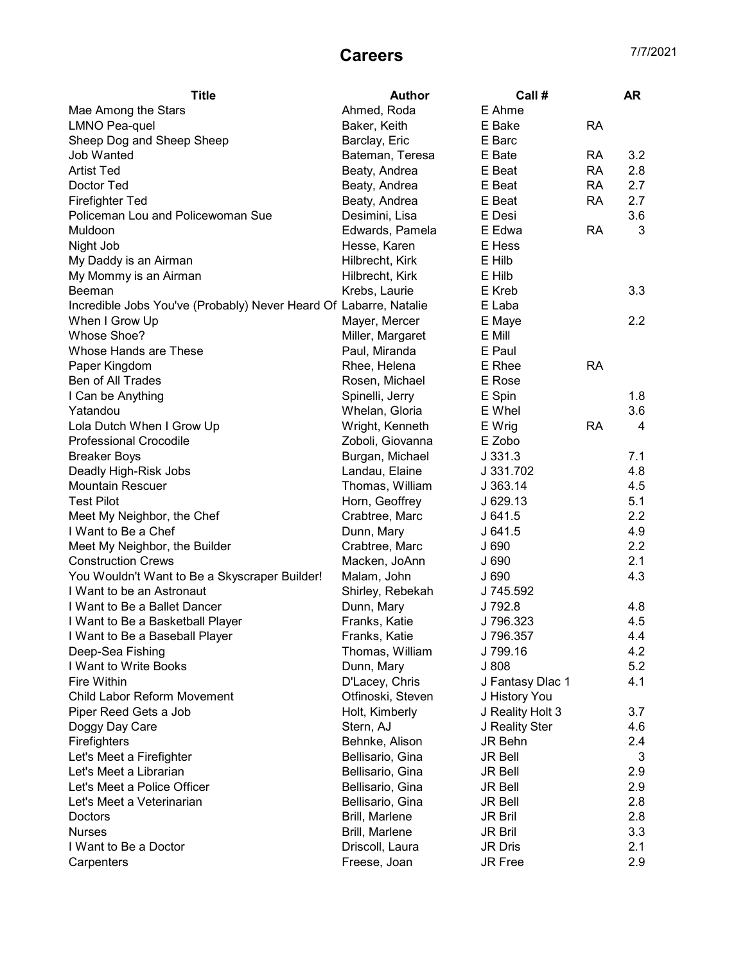## **Careers** 7/7/2021

| Ahmed, Roda<br>E Ahme<br>Mae Among the Stars<br>E Bake<br><b>RA</b><br><b>LMNO Pea-quel</b><br>Baker, Keith<br>Sheep Dog and Sheep Sheep<br>Barclay, Eric<br>E Barc<br>3.2<br>Job Wanted<br>Bateman, Teresa<br>E Bate<br>RA<br><b>Artist Ted</b><br><b>RA</b><br>2.8<br>Beaty, Andrea<br>E Beat<br>Doctor Ted<br>E Beat<br><b>RA</b><br>2.7<br>Beaty, Andrea<br>Firefighter Ted<br>E Beat<br><b>RA</b><br>2.7<br>Beaty, Andrea<br>Policeman Lou and Policewoman Sue<br>Desimini, Lisa<br>E Desi<br>3.6<br>Muldoon<br>Edwards, Pamela<br>E Edwa<br><b>RA</b><br>3<br>Night Job<br>Hesse, Karen<br>E Hess<br>My Daddy is an Airman<br>E Hilb<br>Hilbrecht, Kirk<br>E Hilb<br>My Mommy is an Airman<br>Hilbrecht, Kirk<br>3.3<br>E Kreb<br><b>Beeman</b><br>Krebs, Laurie<br>Incredible Jobs You've (Probably) Never Heard Of Labarre, Natalie<br>E Laba<br>$2.2\phantom{0}$<br>When I Grow Up<br>Mayer, Mercer<br>E Maye<br>Whose Shoe?<br>Miller, Margaret<br>E Mill<br>Whose Hands are These<br>E Paul<br>Paul, Miranda<br>Paper Kingdom<br>E Rhee<br><b>RA</b><br>Rhee, Helena<br>Ben of All Trades<br>Rosen, Michael<br>E Rose<br>1.8<br>I Can be Anything<br>Spinelli, Jerry<br>E Spin<br>3.6<br>Yatandou<br>Whelan, Gloria<br>E Whel<br>Lola Dutch When I Grow Up<br><b>RA</b><br>Wright, Kenneth<br>E Wrig<br>4<br><b>Professional Crocodile</b><br>E Zobo<br>Zoboli, Giovanna<br><b>Breaker Boys</b><br>Burgan, Michael<br>J.331.3<br>7.1<br>Landau, Elaine<br>4.8<br>Deadly High-Risk Jobs<br>J 331.702<br>Thomas, William<br>4.5<br><b>Mountain Rescuer</b><br>J363.14<br><b>Test Pilot</b><br>5.1<br>Horn, Geoffrey<br>J 629.13<br>Meet My Neighbor, the Chef<br>Crabtree, Marc<br>2.2<br>J641.5<br>I Want to Be a Chef<br>4.9<br>Dunn, Mary<br>J641.5<br>Meet My Neighbor, the Builder<br>Crabtree, Marc<br>J 690<br>2.2<br>2.1<br><b>Construction Crews</b><br>Macken, JoAnn<br>J 690<br>4.3<br>You Wouldn't Want to Be a Skyscraper Builder!<br>Malam, John<br>J690<br>J 745.592<br>I Want to be an Astronaut<br>Shirley, Rebekah<br>J 792.8<br>I Want to Be a Ballet Dancer<br>Dunn, Mary<br>4.8<br>Franks, Katie<br>J 796.323<br>4.5<br>I Want to Be a Basketball Player<br>J 796.357<br>4.4<br>I Want to Be a Baseball Player<br>Franks, Katie<br>4.2<br>Deep-Sea Fishing<br>Thomas, William<br>J 799.16<br>5.2<br>I Want to Write Books<br>J 808<br>Dunn, Mary<br>Fire Within<br>D'Lacey, Chris<br>4.1<br>J Fantasy Dlac 1<br><b>Child Labor Reform Movement</b><br>Otfinoski, Steven<br>J History You<br>Piper Reed Gets a Job<br>Holt, Kimberly<br>J Reality Holt 3<br>3.7<br>Stern, AJ<br>J Reality Ster<br>Doggy Day Care<br>4.6<br>Firefighters<br>Behnke, Alison<br>JR Behn<br>2.4<br>Let's Meet a Firefighter<br>Bellisario, Gina<br>3<br>JR Bell<br>Let's Meet a Librarian<br>Bellisario, Gina<br>2.9<br>JR Bell<br>Let's Meet a Police Officer<br>Bellisario, Gina<br>2.9<br>JR Bell<br>Let's Meet a Veterinarian<br>Bellisario, Gina<br>2.8<br><b>JR Bell</b><br>Brill, Marlene<br>2.8<br>Doctors<br>JR Bril<br>Brill, Marlene<br>3.3<br><b>JR Bril</b><br><b>Nurses</b> | <b>Title</b>          | <b>Author</b>   | Call #         | AR  |
|----------------------------------------------------------------------------------------------------------------------------------------------------------------------------------------------------------------------------------------------------------------------------------------------------------------------------------------------------------------------------------------------------------------------------------------------------------------------------------------------------------------------------------------------------------------------------------------------------------------------------------------------------------------------------------------------------------------------------------------------------------------------------------------------------------------------------------------------------------------------------------------------------------------------------------------------------------------------------------------------------------------------------------------------------------------------------------------------------------------------------------------------------------------------------------------------------------------------------------------------------------------------------------------------------------------------------------------------------------------------------------------------------------------------------------------------------------------------------------------------------------------------------------------------------------------------------------------------------------------------------------------------------------------------------------------------------------------------------------------------------------------------------------------------------------------------------------------------------------------------------------------------------------------------------------------------------------------------------------------------------------------------------------------------------------------------------------------------------------------------------------------------------------------------------------------------------------------------------------------------------------------------------------------------------------------------------------------------------------------------------------------------------------------------------------------------------------------------------------------------------------------------------------------------------------------------------------------------------------------------------------------------------------------------------------------------------------------------------------------------------------------------------------------------------------------------------------------------------------------------------------------------------------------------------------------------------------------------------------------------------------------------------------------------------------------------------------------------------|-----------------------|-----------------|----------------|-----|
|                                                                                                                                                                                                                                                                                                                                                                                                                                                                                                                                                                                                                                                                                                                                                                                                                                                                                                                                                                                                                                                                                                                                                                                                                                                                                                                                                                                                                                                                                                                                                                                                                                                                                                                                                                                                                                                                                                                                                                                                                                                                                                                                                                                                                                                                                                                                                                                                                                                                                                                                                                                                                                                                                                                                                                                                                                                                                                                                                                                                                                                                                                    |                       |                 |                |     |
|                                                                                                                                                                                                                                                                                                                                                                                                                                                                                                                                                                                                                                                                                                                                                                                                                                                                                                                                                                                                                                                                                                                                                                                                                                                                                                                                                                                                                                                                                                                                                                                                                                                                                                                                                                                                                                                                                                                                                                                                                                                                                                                                                                                                                                                                                                                                                                                                                                                                                                                                                                                                                                                                                                                                                                                                                                                                                                                                                                                                                                                                                                    |                       |                 |                |     |
|                                                                                                                                                                                                                                                                                                                                                                                                                                                                                                                                                                                                                                                                                                                                                                                                                                                                                                                                                                                                                                                                                                                                                                                                                                                                                                                                                                                                                                                                                                                                                                                                                                                                                                                                                                                                                                                                                                                                                                                                                                                                                                                                                                                                                                                                                                                                                                                                                                                                                                                                                                                                                                                                                                                                                                                                                                                                                                                                                                                                                                                                                                    |                       |                 |                |     |
|                                                                                                                                                                                                                                                                                                                                                                                                                                                                                                                                                                                                                                                                                                                                                                                                                                                                                                                                                                                                                                                                                                                                                                                                                                                                                                                                                                                                                                                                                                                                                                                                                                                                                                                                                                                                                                                                                                                                                                                                                                                                                                                                                                                                                                                                                                                                                                                                                                                                                                                                                                                                                                                                                                                                                                                                                                                                                                                                                                                                                                                                                                    |                       |                 |                |     |
|                                                                                                                                                                                                                                                                                                                                                                                                                                                                                                                                                                                                                                                                                                                                                                                                                                                                                                                                                                                                                                                                                                                                                                                                                                                                                                                                                                                                                                                                                                                                                                                                                                                                                                                                                                                                                                                                                                                                                                                                                                                                                                                                                                                                                                                                                                                                                                                                                                                                                                                                                                                                                                                                                                                                                                                                                                                                                                                                                                                                                                                                                                    |                       |                 |                |     |
|                                                                                                                                                                                                                                                                                                                                                                                                                                                                                                                                                                                                                                                                                                                                                                                                                                                                                                                                                                                                                                                                                                                                                                                                                                                                                                                                                                                                                                                                                                                                                                                                                                                                                                                                                                                                                                                                                                                                                                                                                                                                                                                                                                                                                                                                                                                                                                                                                                                                                                                                                                                                                                                                                                                                                                                                                                                                                                                                                                                                                                                                                                    |                       |                 |                |     |
|                                                                                                                                                                                                                                                                                                                                                                                                                                                                                                                                                                                                                                                                                                                                                                                                                                                                                                                                                                                                                                                                                                                                                                                                                                                                                                                                                                                                                                                                                                                                                                                                                                                                                                                                                                                                                                                                                                                                                                                                                                                                                                                                                                                                                                                                                                                                                                                                                                                                                                                                                                                                                                                                                                                                                                                                                                                                                                                                                                                                                                                                                                    |                       |                 |                |     |
|                                                                                                                                                                                                                                                                                                                                                                                                                                                                                                                                                                                                                                                                                                                                                                                                                                                                                                                                                                                                                                                                                                                                                                                                                                                                                                                                                                                                                                                                                                                                                                                                                                                                                                                                                                                                                                                                                                                                                                                                                                                                                                                                                                                                                                                                                                                                                                                                                                                                                                                                                                                                                                                                                                                                                                                                                                                                                                                                                                                                                                                                                                    |                       |                 |                |     |
|                                                                                                                                                                                                                                                                                                                                                                                                                                                                                                                                                                                                                                                                                                                                                                                                                                                                                                                                                                                                                                                                                                                                                                                                                                                                                                                                                                                                                                                                                                                                                                                                                                                                                                                                                                                                                                                                                                                                                                                                                                                                                                                                                                                                                                                                                                                                                                                                                                                                                                                                                                                                                                                                                                                                                                                                                                                                                                                                                                                                                                                                                                    |                       |                 |                |     |
|                                                                                                                                                                                                                                                                                                                                                                                                                                                                                                                                                                                                                                                                                                                                                                                                                                                                                                                                                                                                                                                                                                                                                                                                                                                                                                                                                                                                                                                                                                                                                                                                                                                                                                                                                                                                                                                                                                                                                                                                                                                                                                                                                                                                                                                                                                                                                                                                                                                                                                                                                                                                                                                                                                                                                                                                                                                                                                                                                                                                                                                                                                    |                       |                 |                |     |
|                                                                                                                                                                                                                                                                                                                                                                                                                                                                                                                                                                                                                                                                                                                                                                                                                                                                                                                                                                                                                                                                                                                                                                                                                                                                                                                                                                                                                                                                                                                                                                                                                                                                                                                                                                                                                                                                                                                                                                                                                                                                                                                                                                                                                                                                                                                                                                                                                                                                                                                                                                                                                                                                                                                                                                                                                                                                                                                                                                                                                                                                                                    |                       |                 |                |     |
|                                                                                                                                                                                                                                                                                                                                                                                                                                                                                                                                                                                                                                                                                                                                                                                                                                                                                                                                                                                                                                                                                                                                                                                                                                                                                                                                                                                                                                                                                                                                                                                                                                                                                                                                                                                                                                                                                                                                                                                                                                                                                                                                                                                                                                                                                                                                                                                                                                                                                                                                                                                                                                                                                                                                                                                                                                                                                                                                                                                                                                                                                                    |                       |                 |                |     |
|                                                                                                                                                                                                                                                                                                                                                                                                                                                                                                                                                                                                                                                                                                                                                                                                                                                                                                                                                                                                                                                                                                                                                                                                                                                                                                                                                                                                                                                                                                                                                                                                                                                                                                                                                                                                                                                                                                                                                                                                                                                                                                                                                                                                                                                                                                                                                                                                                                                                                                                                                                                                                                                                                                                                                                                                                                                                                                                                                                                                                                                                                                    |                       |                 |                |     |
|                                                                                                                                                                                                                                                                                                                                                                                                                                                                                                                                                                                                                                                                                                                                                                                                                                                                                                                                                                                                                                                                                                                                                                                                                                                                                                                                                                                                                                                                                                                                                                                                                                                                                                                                                                                                                                                                                                                                                                                                                                                                                                                                                                                                                                                                                                                                                                                                                                                                                                                                                                                                                                                                                                                                                                                                                                                                                                                                                                                                                                                                                                    |                       |                 |                |     |
|                                                                                                                                                                                                                                                                                                                                                                                                                                                                                                                                                                                                                                                                                                                                                                                                                                                                                                                                                                                                                                                                                                                                                                                                                                                                                                                                                                                                                                                                                                                                                                                                                                                                                                                                                                                                                                                                                                                                                                                                                                                                                                                                                                                                                                                                                                                                                                                                                                                                                                                                                                                                                                                                                                                                                                                                                                                                                                                                                                                                                                                                                                    |                       |                 |                |     |
|                                                                                                                                                                                                                                                                                                                                                                                                                                                                                                                                                                                                                                                                                                                                                                                                                                                                                                                                                                                                                                                                                                                                                                                                                                                                                                                                                                                                                                                                                                                                                                                                                                                                                                                                                                                                                                                                                                                                                                                                                                                                                                                                                                                                                                                                                                                                                                                                                                                                                                                                                                                                                                                                                                                                                                                                                                                                                                                                                                                                                                                                                                    |                       |                 |                |     |
|                                                                                                                                                                                                                                                                                                                                                                                                                                                                                                                                                                                                                                                                                                                                                                                                                                                                                                                                                                                                                                                                                                                                                                                                                                                                                                                                                                                                                                                                                                                                                                                                                                                                                                                                                                                                                                                                                                                                                                                                                                                                                                                                                                                                                                                                                                                                                                                                                                                                                                                                                                                                                                                                                                                                                                                                                                                                                                                                                                                                                                                                                                    |                       |                 |                |     |
|                                                                                                                                                                                                                                                                                                                                                                                                                                                                                                                                                                                                                                                                                                                                                                                                                                                                                                                                                                                                                                                                                                                                                                                                                                                                                                                                                                                                                                                                                                                                                                                                                                                                                                                                                                                                                                                                                                                                                                                                                                                                                                                                                                                                                                                                                                                                                                                                                                                                                                                                                                                                                                                                                                                                                                                                                                                                                                                                                                                                                                                                                                    |                       |                 |                |     |
|                                                                                                                                                                                                                                                                                                                                                                                                                                                                                                                                                                                                                                                                                                                                                                                                                                                                                                                                                                                                                                                                                                                                                                                                                                                                                                                                                                                                                                                                                                                                                                                                                                                                                                                                                                                                                                                                                                                                                                                                                                                                                                                                                                                                                                                                                                                                                                                                                                                                                                                                                                                                                                                                                                                                                                                                                                                                                                                                                                                                                                                                                                    |                       |                 |                |     |
|                                                                                                                                                                                                                                                                                                                                                                                                                                                                                                                                                                                                                                                                                                                                                                                                                                                                                                                                                                                                                                                                                                                                                                                                                                                                                                                                                                                                                                                                                                                                                                                                                                                                                                                                                                                                                                                                                                                                                                                                                                                                                                                                                                                                                                                                                                                                                                                                                                                                                                                                                                                                                                                                                                                                                                                                                                                                                                                                                                                                                                                                                                    |                       |                 |                |     |
|                                                                                                                                                                                                                                                                                                                                                                                                                                                                                                                                                                                                                                                                                                                                                                                                                                                                                                                                                                                                                                                                                                                                                                                                                                                                                                                                                                                                                                                                                                                                                                                                                                                                                                                                                                                                                                                                                                                                                                                                                                                                                                                                                                                                                                                                                                                                                                                                                                                                                                                                                                                                                                                                                                                                                                                                                                                                                                                                                                                                                                                                                                    |                       |                 |                |     |
|                                                                                                                                                                                                                                                                                                                                                                                                                                                                                                                                                                                                                                                                                                                                                                                                                                                                                                                                                                                                                                                                                                                                                                                                                                                                                                                                                                                                                                                                                                                                                                                                                                                                                                                                                                                                                                                                                                                                                                                                                                                                                                                                                                                                                                                                                                                                                                                                                                                                                                                                                                                                                                                                                                                                                                                                                                                                                                                                                                                                                                                                                                    |                       |                 |                |     |
|                                                                                                                                                                                                                                                                                                                                                                                                                                                                                                                                                                                                                                                                                                                                                                                                                                                                                                                                                                                                                                                                                                                                                                                                                                                                                                                                                                                                                                                                                                                                                                                                                                                                                                                                                                                                                                                                                                                                                                                                                                                                                                                                                                                                                                                                                                                                                                                                                                                                                                                                                                                                                                                                                                                                                                                                                                                                                                                                                                                                                                                                                                    |                       |                 |                |     |
|                                                                                                                                                                                                                                                                                                                                                                                                                                                                                                                                                                                                                                                                                                                                                                                                                                                                                                                                                                                                                                                                                                                                                                                                                                                                                                                                                                                                                                                                                                                                                                                                                                                                                                                                                                                                                                                                                                                                                                                                                                                                                                                                                                                                                                                                                                                                                                                                                                                                                                                                                                                                                                                                                                                                                                                                                                                                                                                                                                                                                                                                                                    |                       |                 |                |     |
|                                                                                                                                                                                                                                                                                                                                                                                                                                                                                                                                                                                                                                                                                                                                                                                                                                                                                                                                                                                                                                                                                                                                                                                                                                                                                                                                                                                                                                                                                                                                                                                                                                                                                                                                                                                                                                                                                                                                                                                                                                                                                                                                                                                                                                                                                                                                                                                                                                                                                                                                                                                                                                                                                                                                                                                                                                                                                                                                                                                                                                                                                                    |                       |                 |                |     |
|                                                                                                                                                                                                                                                                                                                                                                                                                                                                                                                                                                                                                                                                                                                                                                                                                                                                                                                                                                                                                                                                                                                                                                                                                                                                                                                                                                                                                                                                                                                                                                                                                                                                                                                                                                                                                                                                                                                                                                                                                                                                                                                                                                                                                                                                                                                                                                                                                                                                                                                                                                                                                                                                                                                                                                                                                                                                                                                                                                                                                                                                                                    |                       |                 |                |     |
|                                                                                                                                                                                                                                                                                                                                                                                                                                                                                                                                                                                                                                                                                                                                                                                                                                                                                                                                                                                                                                                                                                                                                                                                                                                                                                                                                                                                                                                                                                                                                                                                                                                                                                                                                                                                                                                                                                                                                                                                                                                                                                                                                                                                                                                                                                                                                                                                                                                                                                                                                                                                                                                                                                                                                                                                                                                                                                                                                                                                                                                                                                    |                       |                 |                |     |
|                                                                                                                                                                                                                                                                                                                                                                                                                                                                                                                                                                                                                                                                                                                                                                                                                                                                                                                                                                                                                                                                                                                                                                                                                                                                                                                                                                                                                                                                                                                                                                                                                                                                                                                                                                                                                                                                                                                                                                                                                                                                                                                                                                                                                                                                                                                                                                                                                                                                                                                                                                                                                                                                                                                                                                                                                                                                                                                                                                                                                                                                                                    |                       |                 |                |     |
|                                                                                                                                                                                                                                                                                                                                                                                                                                                                                                                                                                                                                                                                                                                                                                                                                                                                                                                                                                                                                                                                                                                                                                                                                                                                                                                                                                                                                                                                                                                                                                                                                                                                                                                                                                                                                                                                                                                                                                                                                                                                                                                                                                                                                                                                                                                                                                                                                                                                                                                                                                                                                                                                                                                                                                                                                                                                                                                                                                                                                                                                                                    |                       |                 |                |     |
|                                                                                                                                                                                                                                                                                                                                                                                                                                                                                                                                                                                                                                                                                                                                                                                                                                                                                                                                                                                                                                                                                                                                                                                                                                                                                                                                                                                                                                                                                                                                                                                                                                                                                                                                                                                                                                                                                                                                                                                                                                                                                                                                                                                                                                                                                                                                                                                                                                                                                                                                                                                                                                                                                                                                                                                                                                                                                                                                                                                                                                                                                                    |                       |                 |                |     |
|                                                                                                                                                                                                                                                                                                                                                                                                                                                                                                                                                                                                                                                                                                                                                                                                                                                                                                                                                                                                                                                                                                                                                                                                                                                                                                                                                                                                                                                                                                                                                                                                                                                                                                                                                                                                                                                                                                                                                                                                                                                                                                                                                                                                                                                                                                                                                                                                                                                                                                                                                                                                                                                                                                                                                                                                                                                                                                                                                                                                                                                                                                    |                       |                 |                |     |
|                                                                                                                                                                                                                                                                                                                                                                                                                                                                                                                                                                                                                                                                                                                                                                                                                                                                                                                                                                                                                                                                                                                                                                                                                                                                                                                                                                                                                                                                                                                                                                                                                                                                                                                                                                                                                                                                                                                                                                                                                                                                                                                                                                                                                                                                                                                                                                                                                                                                                                                                                                                                                                                                                                                                                                                                                                                                                                                                                                                                                                                                                                    |                       |                 |                |     |
|                                                                                                                                                                                                                                                                                                                                                                                                                                                                                                                                                                                                                                                                                                                                                                                                                                                                                                                                                                                                                                                                                                                                                                                                                                                                                                                                                                                                                                                                                                                                                                                                                                                                                                                                                                                                                                                                                                                                                                                                                                                                                                                                                                                                                                                                                                                                                                                                                                                                                                                                                                                                                                                                                                                                                                                                                                                                                                                                                                                                                                                                                                    |                       |                 |                |     |
|                                                                                                                                                                                                                                                                                                                                                                                                                                                                                                                                                                                                                                                                                                                                                                                                                                                                                                                                                                                                                                                                                                                                                                                                                                                                                                                                                                                                                                                                                                                                                                                                                                                                                                                                                                                                                                                                                                                                                                                                                                                                                                                                                                                                                                                                                                                                                                                                                                                                                                                                                                                                                                                                                                                                                                                                                                                                                                                                                                                                                                                                                                    |                       |                 |                |     |
|                                                                                                                                                                                                                                                                                                                                                                                                                                                                                                                                                                                                                                                                                                                                                                                                                                                                                                                                                                                                                                                                                                                                                                                                                                                                                                                                                                                                                                                                                                                                                                                                                                                                                                                                                                                                                                                                                                                                                                                                                                                                                                                                                                                                                                                                                                                                                                                                                                                                                                                                                                                                                                                                                                                                                                                                                                                                                                                                                                                                                                                                                                    |                       |                 |                |     |
|                                                                                                                                                                                                                                                                                                                                                                                                                                                                                                                                                                                                                                                                                                                                                                                                                                                                                                                                                                                                                                                                                                                                                                                                                                                                                                                                                                                                                                                                                                                                                                                                                                                                                                                                                                                                                                                                                                                                                                                                                                                                                                                                                                                                                                                                                                                                                                                                                                                                                                                                                                                                                                                                                                                                                                                                                                                                                                                                                                                                                                                                                                    |                       |                 |                |     |
|                                                                                                                                                                                                                                                                                                                                                                                                                                                                                                                                                                                                                                                                                                                                                                                                                                                                                                                                                                                                                                                                                                                                                                                                                                                                                                                                                                                                                                                                                                                                                                                                                                                                                                                                                                                                                                                                                                                                                                                                                                                                                                                                                                                                                                                                                                                                                                                                                                                                                                                                                                                                                                                                                                                                                                                                                                                                                                                                                                                                                                                                                                    |                       |                 |                |     |
|                                                                                                                                                                                                                                                                                                                                                                                                                                                                                                                                                                                                                                                                                                                                                                                                                                                                                                                                                                                                                                                                                                                                                                                                                                                                                                                                                                                                                                                                                                                                                                                                                                                                                                                                                                                                                                                                                                                                                                                                                                                                                                                                                                                                                                                                                                                                                                                                                                                                                                                                                                                                                                                                                                                                                                                                                                                                                                                                                                                                                                                                                                    |                       |                 |                |     |
|                                                                                                                                                                                                                                                                                                                                                                                                                                                                                                                                                                                                                                                                                                                                                                                                                                                                                                                                                                                                                                                                                                                                                                                                                                                                                                                                                                                                                                                                                                                                                                                                                                                                                                                                                                                                                                                                                                                                                                                                                                                                                                                                                                                                                                                                                                                                                                                                                                                                                                                                                                                                                                                                                                                                                                                                                                                                                                                                                                                                                                                                                                    |                       |                 |                |     |
|                                                                                                                                                                                                                                                                                                                                                                                                                                                                                                                                                                                                                                                                                                                                                                                                                                                                                                                                                                                                                                                                                                                                                                                                                                                                                                                                                                                                                                                                                                                                                                                                                                                                                                                                                                                                                                                                                                                                                                                                                                                                                                                                                                                                                                                                                                                                                                                                                                                                                                                                                                                                                                                                                                                                                                                                                                                                                                                                                                                                                                                                                                    |                       |                 |                |     |
|                                                                                                                                                                                                                                                                                                                                                                                                                                                                                                                                                                                                                                                                                                                                                                                                                                                                                                                                                                                                                                                                                                                                                                                                                                                                                                                                                                                                                                                                                                                                                                                                                                                                                                                                                                                                                                                                                                                                                                                                                                                                                                                                                                                                                                                                                                                                                                                                                                                                                                                                                                                                                                                                                                                                                                                                                                                                                                                                                                                                                                                                                                    |                       |                 |                |     |
|                                                                                                                                                                                                                                                                                                                                                                                                                                                                                                                                                                                                                                                                                                                                                                                                                                                                                                                                                                                                                                                                                                                                                                                                                                                                                                                                                                                                                                                                                                                                                                                                                                                                                                                                                                                                                                                                                                                                                                                                                                                                                                                                                                                                                                                                                                                                                                                                                                                                                                                                                                                                                                                                                                                                                                                                                                                                                                                                                                                                                                                                                                    |                       |                 |                |     |
|                                                                                                                                                                                                                                                                                                                                                                                                                                                                                                                                                                                                                                                                                                                                                                                                                                                                                                                                                                                                                                                                                                                                                                                                                                                                                                                                                                                                                                                                                                                                                                                                                                                                                                                                                                                                                                                                                                                                                                                                                                                                                                                                                                                                                                                                                                                                                                                                                                                                                                                                                                                                                                                                                                                                                                                                                                                                                                                                                                                                                                                                                                    |                       |                 |                |     |
|                                                                                                                                                                                                                                                                                                                                                                                                                                                                                                                                                                                                                                                                                                                                                                                                                                                                                                                                                                                                                                                                                                                                                                                                                                                                                                                                                                                                                                                                                                                                                                                                                                                                                                                                                                                                                                                                                                                                                                                                                                                                                                                                                                                                                                                                                                                                                                                                                                                                                                                                                                                                                                                                                                                                                                                                                                                                                                                                                                                                                                                                                                    |                       |                 |                |     |
|                                                                                                                                                                                                                                                                                                                                                                                                                                                                                                                                                                                                                                                                                                                                                                                                                                                                                                                                                                                                                                                                                                                                                                                                                                                                                                                                                                                                                                                                                                                                                                                                                                                                                                                                                                                                                                                                                                                                                                                                                                                                                                                                                                                                                                                                                                                                                                                                                                                                                                                                                                                                                                                                                                                                                                                                                                                                                                                                                                                                                                                                                                    |                       |                 |                |     |
|                                                                                                                                                                                                                                                                                                                                                                                                                                                                                                                                                                                                                                                                                                                                                                                                                                                                                                                                                                                                                                                                                                                                                                                                                                                                                                                                                                                                                                                                                                                                                                                                                                                                                                                                                                                                                                                                                                                                                                                                                                                                                                                                                                                                                                                                                                                                                                                                                                                                                                                                                                                                                                                                                                                                                                                                                                                                                                                                                                                                                                                                                                    |                       |                 |                |     |
|                                                                                                                                                                                                                                                                                                                                                                                                                                                                                                                                                                                                                                                                                                                                                                                                                                                                                                                                                                                                                                                                                                                                                                                                                                                                                                                                                                                                                                                                                                                                                                                                                                                                                                                                                                                                                                                                                                                                                                                                                                                                                                                                                                                                                                                                                                                                                                                                                                                                                                                                                                                                                                                                                                                                                                                                                                                                                                                                                                                                                                                                                                    |                       |                 |                |     |
|                                                                                                                                                                                                                                                                                                                                                                                                                                                                                                                                                                                                                                                                                                                                                                                                                                                                                                                                                                                                                                                                                                                                                                                                                                                                                                                                                                                                                                                                                                                                                                                                                                                                                                                                                                                                                                                                                                                                                                                                                                                                                                                                                                                                                                                                                                                                                                                                                                                                                                                                                                                                                                                                                                                                                                                                                                                                                                                                                                                                                                                                                                    |                       |                 |                |     |
|                                                                                                                                                                                                                                                                                                                                                                                                                                                                                                                                                                                                                                                                                                                                                                                                                                                                                                                                                                                                                                                                                                                                                                                                                                                                                                                                                                                                                                                                                                                                                                                                                                                                                                                                                                                                                                                                                                                                                                                                                                                                                                                                                                                                                                                                                                                                                                                                                                                                                                                                                                                                                                                                                                                                                                                                                                                                                                                                                                                                                                                                                                    |                       |                 |                |     |
|                                                                                                                                                                                                                                                                                                                                                                                                                                                                                                                                                                                                                                                                                                                                                                                                                                                                                                                                                                                                                                                                                                                                                                                                                                                                                                                                                                                                                                                                                                                                                                                                                                                                                                                                                                                                                                                                                                                                                                                                                                                                                                                                                                                                                                                                                                                                                                                                                                                                                                                                                                                                                                                                                                                                                                                                                                                                                                                                                                                                                                                                                                    | I Want to Be a Doctor | Driscoll, Laura | <b>JR Dris</b> | 2.1 |
| Carpenters<br>Freese, Joan<br>JR Free<br>2.9                                                                                                                                                                                                                                                                                                                                                                                                                                                                                                                                                                                                                                                                                                                                                                                                                                                                                                                                                                                                                                                                                                                                                                                                                                                                                                                                                                                                                                                                                                                                                                                                                                                                                                                                                                                                                                                                                                                                                                                                                                                                                                                                                                                                                                                                                                                                                                                                                                                                                                                                                                                                                                                                                                                                                                                                                                                                                                                                                                                                                                                       |                       |                 |                |     |